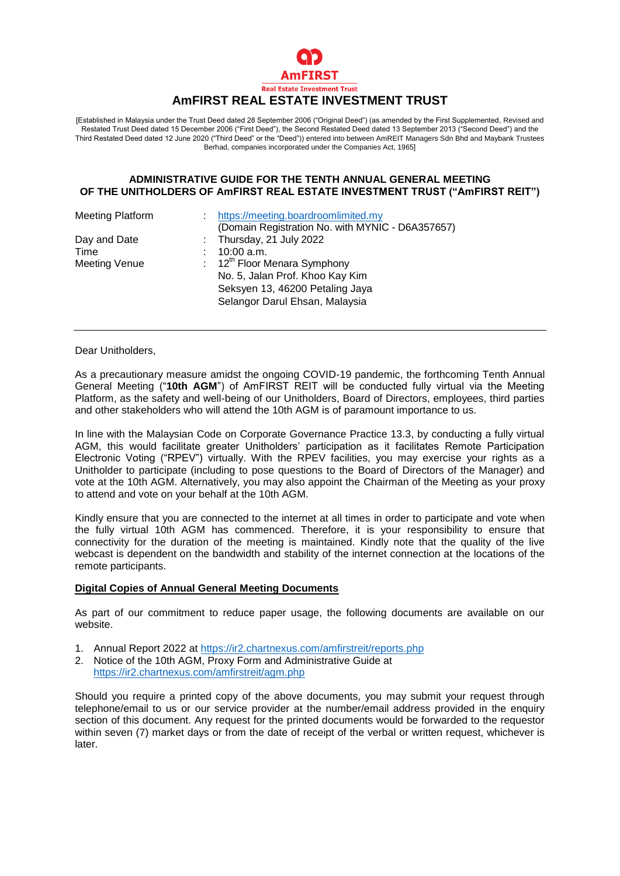

#### Real Estate Investment Trust **AmFIRST REAL ESTATE INVESTMENT TRUST**

[Established in Malaysia under the Trust Deed dated 28 September 2006 ("Original Deed") (as amended by the First Supplemented, Revised and Restated Trust Deed dated 15 December 2006 ("First Deed"), the Second Restated Deed dated 13 September 2013 ("Second Deed") and the Third Restated Deed dated 12 June 2020 ("Third Deed" or the "Deed")) entered into between AmREIT Managers Sdn Bhd and Maybank Trustees Berhad, companies incorporated under the Companies Act, 1965]

### **ADMINISTRATIVE GUIDE FOR THE TENTH ANNUAL GENERAL MEETING OF THE UNITHOLDERS OF AmFIRST REAL ESTATE INVESTMENT TRUST ("AmFIRST REIT")**

| https://meeting.boardroomlimited.my              |
|--------------------------------------------------|
| (Domain Registration No. with MYNIC - D6A357657) |
| : Thursday, 21 July 2022                         |
| $10:00$ a.m.                                     |
| : $12^{th}$ Floor Menara Symphony                |
| No. 5, Jalan Prof. Khoo Kay Kim                  |
| Seksyen 13, 46200 Petaling Jaya                  |
| Selangor Darul Ehsan, Malaysia                   |
|                                                  |

Dear Unitholders,

As a precautionary measure amidst the ongoing COVID-19 pandemic, the forthcoming Tenth Annual General Meeting ("**10th AGM**") of AmFIRST REIT will be conducted fully virtual via the Meeting Platform, as the safety and well-being of our Unitholders, Board of Directors, employees, third parties and other stakeholders who will attend the 10th AGM is of paramount importance to us.

In line with the Malaysian Code on Corporate Governance Practice 13.3, by conducting a fully virtual AGM, this would facilitate greater Unitholders' participation as it facilitates Remote Participation Electronic Voting ("RPEV") virtually. With the RPEV facilities, you may exercise your rights as a Unitholder to participate (including to pose questions to the Board of Directors of the Manager) and vote at the 10th AGM. Alternatively, you may also appoint the Chairman of the Meeting as your proxy to attend and vote on your behalf at the 10th AGM.

Kindly ensure that you are connected to the internet at all times in order to participate and vote when the fully virtual 10th AGM has commenced. Therefore, it is your responsibility to ensure that connectivity for the duration of the meeting is maintained. Kindly note that the quality of the live webcast is dependent on the bandwidth and stability of the internet connection at the locations of the remote participants.

#### **Digital Copies of Annual General Meeting Documents**

As part of our commitment to reduce paper usage, the following documents are available on our website.

- 1. Annual Report 2022 at<https://ir2.chartnexus.com/amfirstreit/reports.php>
- 2. Notice of the 10th AGM, Proxy Form and Administrative Guide at <https://ir2.chartnexus.com/amfirstreit/agm.php>

Should you require a printed copy of the above documents, you may submit your request through telephone/email to us or our service provider at the number/email address provided in the enquiry section of this document. Any request for the printed documents would be forwarded to the requestor within seven (7) market days or from the date of receipt of the verbal or written request, whichever is later.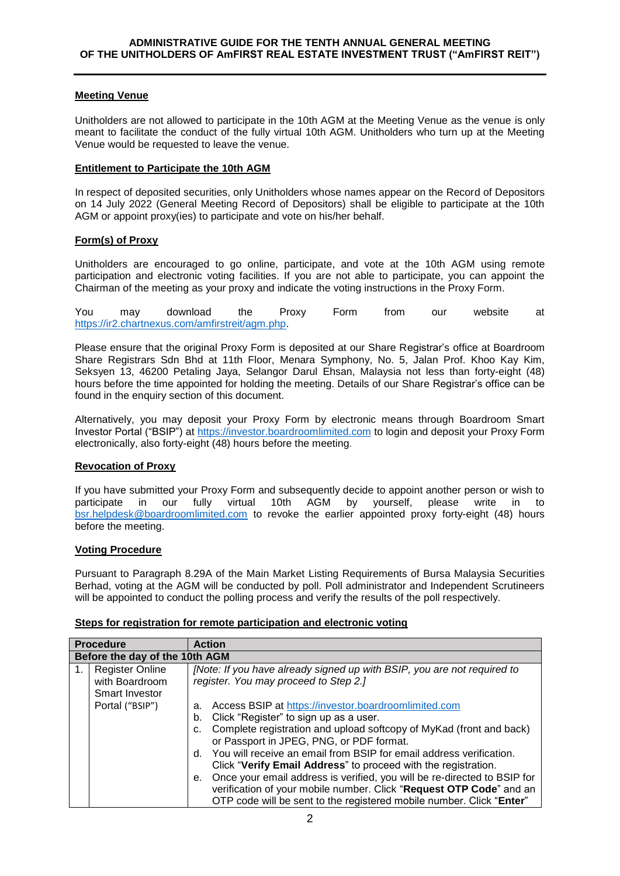# **Meeting Venue**

Unitholders are not allowed to participate in the 10th AGM at the Meeting Venue as the venue is only meant to facilitate the conduct of the fully virtual 10th AGM. Unitholders who turn up at the Meeting Venue would be requested to leave the venue.

# **Entitlement to Participate the 10th AGM**

In respect of deposited securities, only Unitholders whose names appear on the Record of Depositors on 14 July 2022 (General Meeting Record of Depositors) shall be eligible to participate at the 10th AGM or appoint proxy(ies) to participate and vote on his/her behalf.

# **Form(s) of Proxy**

Unitholders are encouraged to go online, participate, and vote at the 10th AGM using remote participation and electronic voting facilities. If you are not able to participate, you can appoint the Chairman of the meeting as your proxy and indicate the voting instructions in the Proxy Form.

You may download the Proxy Form from our website at [https://ir2.chartnexus.com/amfirstreit/agm.php.](https://ir2.chartnexus.com/amfirstreit/agm.php)

Please ensure that the original Proxy Form is deposited at our Share Registrar's office at Boardroom Share Registrars Sdn Bhd at 11th Floor, Menara Symphony, No. 5, Jalan Prof. Khoo Kay Kim, Seksyen 13, 46200 Petaling Jaya, Selangor Darul Ehsan, Malaysia not less than forty-eight (48) hours before the time appointed for holding the meeting. Details of our Share Registrar's office can be found in the enquiry section of this document.

Alternatively, you may deposit your Proxy Form by electronic means through Boardroom Smart Investor Portal ("BSIP") at [https://investor.boardroomlimited.com](https://investor.boardroomlimited.com/) to login and deposit your Proxy Form electronically, also forty-eight (48) hours before the meeting.

## **Revocation of Proxy**

If you have submitted your Proxy Form and subsequently decide to appoint another person or wish to participate in our fully virtual 10th AGM by yourself, please write in to [bsr.helpdesk@boardroomlimited.com](mailto:bsr.helpdesk@boardroomlimited.com) to revoke the earlier appointed proxy forty-eight (48) hours before the meeting.

## **Voting Procedure**

Pursuant to Paragraph 8.29A of the Main Market Listing Requirements of Bursa Malaysia Securities Berhad, voting at the AGM will be conducted by poll. Poll administrator and Independent Scrutineers will be appointed to conduct the polling process and verify the results of the poll respectively.

| <b>Procedure</b>               |                                                                   | <b>Action</b>                                                                                                                                                                                                                                                                                                                                                                                                                                                                                                                                                                                                    |  |  |  |
|--------------------------------|-------------------------------------------------------------------|------------------------------------------------------------------------------------------------------------------------------------------------------------------------------------------------------------------------------------------------------------------------------------------------------------------------------------------------------------------------------------------------------------------------------------------------------------------------------------------------------------------------------------------------------------------------------------------------------------------|--|--|--|
| Before the day of the 10th AGM |                                                                   |                                                                                                                                                                                                                                                                                                                                                                                                                                                                                                                                                                                                                  |  |  |  |
| 1.                             | <b>Register Online</b><br>with Boardroom<br><b>Smart Investor</b> | [Note: If you have already signed up with BSIP, you are not required to<br>register. You may proceed to Step 2.]                                                                                                                                                                                                                                                                                                                                                                                                                                                                                                 |  |  |  |
|                                | Portal ("BSIP")                                                   | Access BSIP at https://investor.boardroomlimited.com<br>a.<br>Click "Register" to sign up as a user.<br>b.<br>Complete registration and upload softcopy of MyKad (front and back)<br>с.<br>or Passport in JPEG, PNG, or PDF format.<br>d. You will receive an email from BSIP for email address verification.<br>Click "Verify Email Address" to proceed with the registration.<br>Once your email address is verified, you will be re-directed to BSIP for<br>е.<br>verification of your mobile number. Click "Request OTP Code" and an<br>OTP code will be sent to the registered mobile number. Click "Enter" |  |  |  |

## **Steps for registration for remote participation and electronic voting**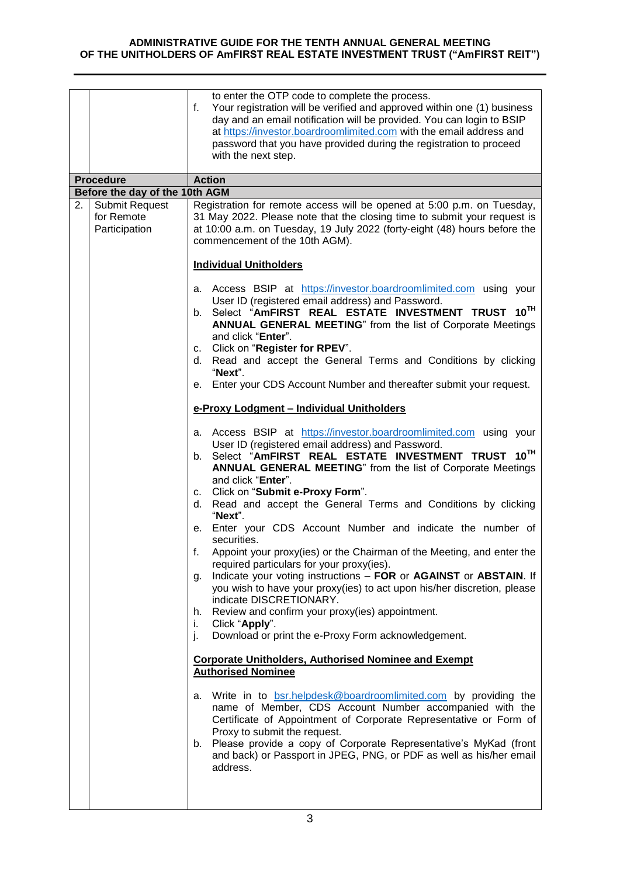### **ADMINISTRATIVE GUIDE FOR THE TENTH ANNUAL GENERAL MEETING OF THE UNITHOLDERS OF AmFIRST REAL ESTATE INVESTMENT TRUST ("AmFIRST REIT")**

|    |                                                      | to enter the OTP code to complete the process.<br>Your registration will be verified and approved within one (1) business<br>f.<br>day and an email notification will be provided. You can login to BSIP<br>at https://investor.boardroomlimited.com with the email address and<br>password that you have provided during the registration to proceed<br>with the next step.                          |  |
|----|------------------------------------------------------|-------------------------------------------------------------------------------------------------------------------------------------------------------------------------------------------------------------------------------------------------------------------------------------------------------------------------------------------------------------------------------------------------------|--|
|    | <b>Procedure</b>                                     | <b>Action</b>                                                                                                                                                                                                                                                                                                                                                                                         |  |
|    | Before the day of the 10th AGM                       |                                                                                                                                                                                                                                                                                                                                                                                                       |  |
| 2. | <b>Submit Request</b><br>for Remote<br>Participation | Registration for remote access will be opened at 5:00 p.m. on Tuesday,<br>31 May 2022. Please note that the closing time to submit your request is<br>at 10:00 a.m. on Tuesday, 19 July 2022 (forty-eight (48) hours before the<br>commencement of the 10th AGM).<br><b>Individual Unitholders</b>                                                                                                    |  |
|    |                                                      |                                                                                                                                                                                                                                                                                                                                                                                                       |  |
|    |                                                      | a. Access BSIP at https://investor.boardroomlimited.com using your<br>User ID (registered email address) and Password.<br>b. Select "AmFIRST REAL ESTATE INVESTMENT TRUST 10TH<br>ANNUAL GENERAL MEETING" from the list of Corporate Meetings<br>and click "Enter".<br>c. Click on "Register for RPEV".                                                                                               |  |
|    |                                                      | d. Read and accept the General Terms and Conditions by clicking<br>"Next".                                                                                                                                                                                                                                                                                                                            |  |
|    |                                                      | e. Enter your CDS Account Number and thereafter submit your request.                                                                                                                                                                                                                                                                                                                                  |  |
|    |                                                      | e-Proxy Lodgment - Individual Unitholders                                                                                                                                                                                                                                                                                                                                                             |  |
|    |                                                      | a. Access BSIP at https://investor.boardroomlimited.com using your                                                                                                                                                                                                                                                                                                                                    |  |
|    |                                                      | User ID (registered email address) and Password.<br>Select "AmFIRST REAL ESTATE INVESTMENT TRUST 10TH<br>b.<br>ANNUAL GENERAL MEETING" from the list of Corporate Meetings<br>and click "Enter".                                                                                                                                                                                                      |  |
|    |                                                      | c. Click on "Submit e-Proxy Form".                                                                                                                                                                                                                                                                                                                                                                    |  |
|    |                                                      | d. Read and accept the General Terms and Conditions by clicking<br>"Next".                                                                                                                                                                                                                                                                                                                            |  |
|    |                                                      | e. Enter your CDS Account Number and indicate the number of<br>securities.                                                                                                                                                                                                                                                                                                                            |  |
|    |                                                      | Appoint your proxy(ies) or the Chairman of the Meeting, and enter the<br>required particulars for your proxy(ies).                                                                                                                                                                                                                                                                                    |  |
|    |                                                      | g. Indicate your voting instructions - FOR or AGAINST or ABSTAIN. If<br>you wish to have your proxy(ies) to act upon his/her discretion, please<br>indicate DISCRETIONARY.                                                                                                                                                                                                                            |  |
|    |                                                      | h. Review and confirm your proxy(ies) appointment.                                                                                                                                                                                                                                                                                                                                                    |  |
|    |                                                      | Click "Apply".<br>Τ.<br>Download or print the e-Proxy Form acknowledgement.<br>j.                                                                                                                                                                                                                                                                                                                     |  |
|    |                                                      |                                                                                                                                                                                                                                                                                                                                                                                                       |  |
|    |                                                      | <b>Corporate Unitholders, Authorised Nominee and Exempt</b><br><b>Authorised Nominee</b>                                                                                                                                                                                                                                                                                                              |  |
|    |                                                      | Write in to <b>bsr.helpdesk@boardroomlimited.com</b> by providing the<br>а.<br>name of Member, CDS Account Number accompanied with the<br>Certificate of Appointment of Corporate Representative or Form of<br>Proxy to submit the request.<br>b. Please provide a copy of Corporate Representative's MyKad (front<br>and back) or Passport in JPEG, PNG, or PDF as well as his/her email<br>address. |  |
|    |                                                      |                                                                                                                                                                                                                                                                                                                                                                                                       |  |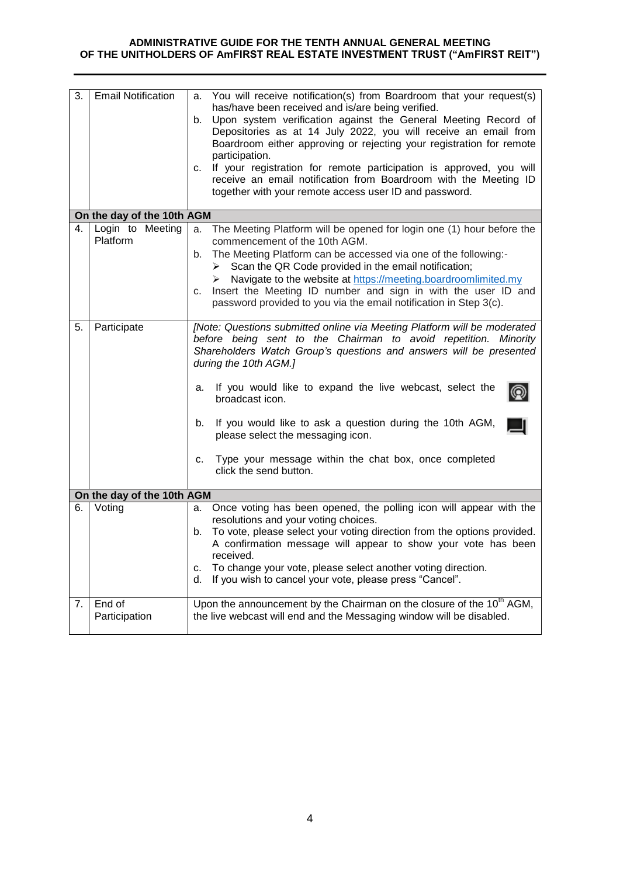### **ADMINISTRATIVE GUIDE FOR THE TENTH ANNUAL GENERAL MEETING OF THE UNITHOLDERS OF AmFIRST REAL ESTATE INVESTMENT TRUST ("AmFIRST REIT")**

| 3. | <b>Email Notification</b>    | a. You will receive notification(s) from Boardroom that your request(s)<br>has/have been received and is/are being verified.<br>Upon system verification against the General Meeting Record of<br>b.<br>Depositories as at 14 July 2022, you will receive an email from<br>Boardroom either approving or rejecting your registration for remote<br>participation.<br>If your registration for remote participation is approved, you will<br>C.<br>receive an email notification from Boardroom with the Meeting ID<br>together with your remote access user ID and password. |
|----|------------------------------|------------------------------------------------------------------------------------------------------------------------------------------------------------------------------------------------------------------------------------------------------------------------------------------------------------------------------------------------------------------------------------------------------------------------------------------------------------------------------------------------------------------------------------------------------------------------------|
|    | On the day of the 10th AGM   |                                                                                                                                                                                                                                                                                                                                                                                                                                                                                                                                                                              |
| 4. | Login to Meeting<br>Platform | The Meeting Platform will be opened for login one (1) hour before the<br>a.<br>commencement of the 10th AGM.<br>b. The Meeting Platform can be accessed via one of the following:-<br>Scan the QR Code provided in the email notification;<br>≻<br>Navigate to the website at https://meeting.boardroomlimited.my<br>➤<br>Insert the Meeting ID number and sign in with the user ID and<br>c.<br>password provided to you via the email notification in Step 3(c).                                                                                                           |
| 5. | Participate                  | [Note: Questions submitted online via Meeting Platform will be moderated<br>before being sent to the Chairman to avoid repetition. Minority<br>Shareholders Watch Group's questions and answers will be presented<br>during the 10th AGM.]<br>If you would like to expand the live webcast, select the<br>а.<br>broadcast icon.<br>If you would like to ask a question during the 10th AGM,<br>b.<br>please select the messaging icon.<br>c. Type your message within the chat box, once completed<br>click the send button.                                                 |
|    | On the day of the 10th AGM   |                                                                                                                                                                                                                                                                                                                                                                                                                                                                                                                                                                              |
| 6. | Voting                       | Once voting has been opened, the polling icon will appear with the<br>а.                                                                                                                                                                                                                                                                                                                                                                                                                                                                                                     |
|    |                              | resolutions and your voting choices.<br>To vote, please select your voting direction from the options provided.<br>b.<br>A confirmation message will appear to show your vote has been<br>received.<br>To change your vote, please select another voting direction.<br>c.<br>If you wish to cancel your vote, please press "Cancel".<br>d.                                                                                                                                                                                                                                   |
| 7. | End of<br>Participation      | Upon the announcement by the Chairman on the closure of the 10 <sup>th</sup> AGM,<br>the live webcast will end and the Messaging window will be disabled.                                                                                                                                                                                                                                                                                                                                                                                                                    |